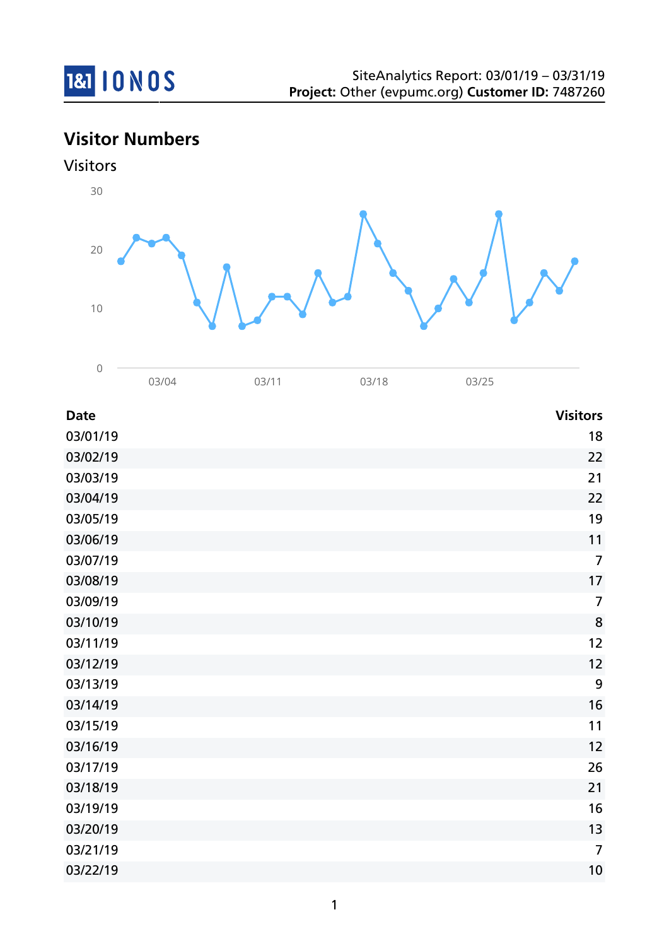

# **Visitor Numbers**





03/04 03/11 03/18 03/25

| <b>Date</b> | <b>Visitors</b> |
|-------------|-----------------|
| 03/01/19    | 18              |
| 03/02/19    | 22              |
| 03/03/19    | 21              |
| 03/04/19    | 22              |
| 03/05/19    | 19              |
| 03/06/19    | 11              |
| 03/07/19    | $\overline{7}$  |
| 03/08/19    | 17              |
| 03/09/19    | $\overline{7}$  |
| 03/10/19    | 8               |
| 03/11/19    | 12              |
| 03/12/19    | 12              |
| 03/13/19    | 9               |
| 03/14/19    | 16              |
| 03/15/19    | 11              |
| 03/16/19    | 12              |
| 03/17/19    | 26              |
| 03/18/19    | 21              |
| 03/19/19    | 16              |
| 03/20/19    | 13              |
| 03/21/19    | $\overline{7}$  |
| 03/22/19    | 10              |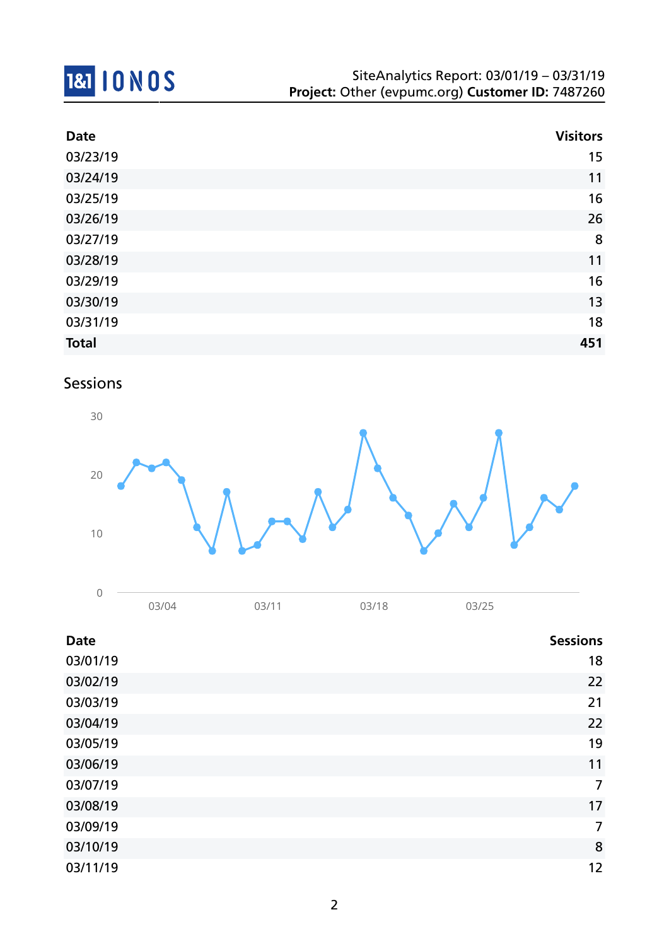

| <b>Date</b>  | <b>Visitors</b> |
|--------------|-----------------|
| 03/23/19     | 15              |
| 03/24/19     | 11              |
| 03/25/19     | 16              |
| 03/26/19     | 26              |
| 03/27/19     | 8               |
| 03/28/19     | 11              |
| 03/29/19     | 16              |
| 03/30/19     | 13              |
| 03/31/19     | 18              |
| <b>Total</b> | 451             |

## Sessions



| $\sim$<br>◡ |     |            |                      |  |
|-------------|-----|------------|----------------------|--|
|             | 104 | $\sqrt{4}$ | $\sim$ $\sim$ $\sim$ |  |

| <b>Date</b> | <b>Sessions</b> |
|-------------|-----------------|
| 03/01/19    | 18              |
| 03/02/19    | 22              |
| 03/03/19    | 21              |
| 03/04/19    | 22              |
| 03/05/19    | 19              |
| 03/06/19    | 11              |
| 03/07/19    | $\overline{7}$  |
| 03/08/19    | 17              |
| 03/09/19    | $\overline{7}$  |
| 03/10/19    | 8               |
| 03/11/19    | 12              |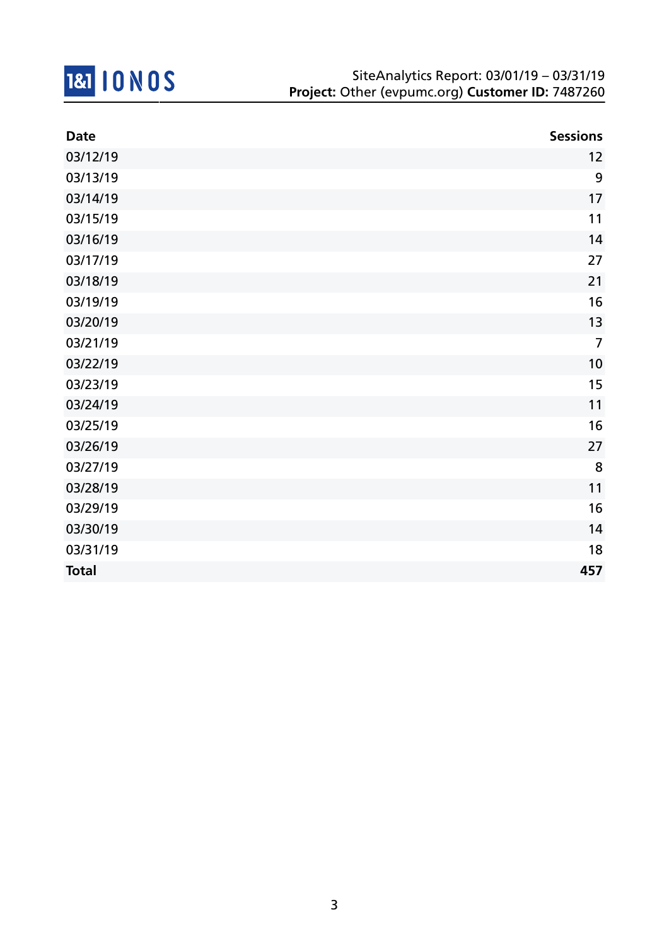

| <b>Date</b>  | <b>Sessions</b> |
|--------------|-----------------|
| 03/12/19     | 12              |
| 03/13/19     | 9               |
| 03/14/19     | 17              |
| 03/15/19     | 11              |
| 03/16/19     | 14              |
| 03/17/19     | 27              |
| 03/18/19     | 21              |
| 03/19/19     | 16              |
| 03/20/19     | 13              |
| 03/21/19     | $\overline{7}$  |
| 03/22/19     | 10              |
| 03/23/19     | 15              |
| 03/24/19     | 11              |
| 03/25/19     | 16              |
| 03/26/19     | 27              |
| 03/27/19     | 8               |
| 03/28/19     | 11              |
| 03/29/19     | 16              |
| 03/30/19     | 14              |
| 03/31/19     | 18              |
| <b>Total</b> | 457             |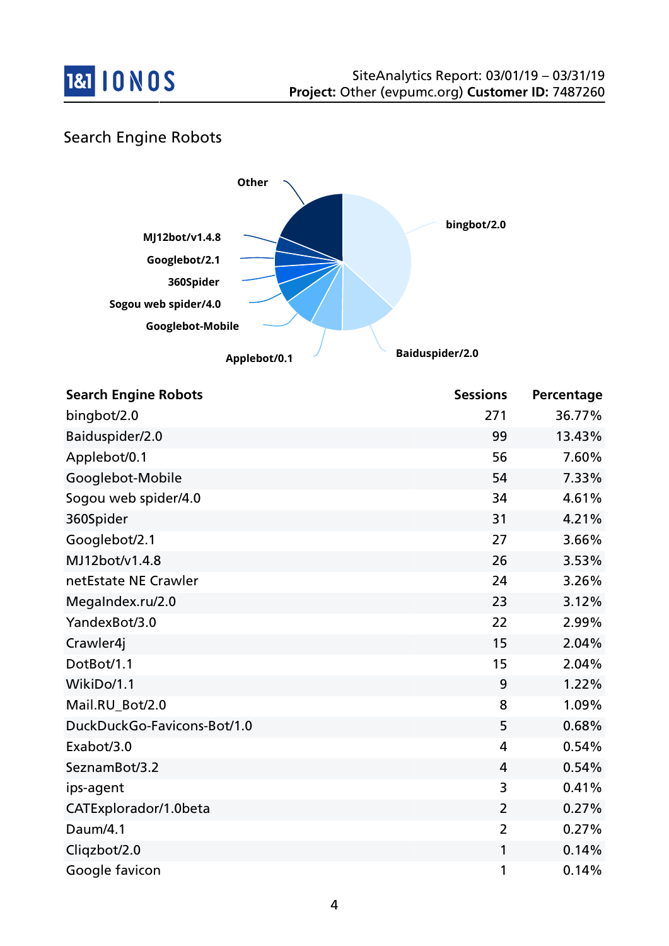

## Search Engine Robots



| <b>Search Engine Robots</b> | <b>Sessions</b> | Percentage |
|-----------------------------|-----------------|------------|
| bingbot/2.0                 | 271             | 36.77%     |
| Baiduspider/2.0             | 99              | 13.43%     |
| Applebot/0.1                | 56              | 7.60%      |
| Googlebot-Mobile            | 54              | 7.33%      |
| Sogou web spider/4.0        | 34              | 4.61%      |
| 360Spider                   | 31              | 4.21%      |
| Googlebot/2.1               | 27              | 3.66%      |
| MJ12bot/v1.4.8              | 26              | 3.53%      |
| netEstate NE Crawler        | 24              | 3.26%      |
| MegaIndex.ru/2.0            | 23              | 3.12%      |
| YandexBot/3.0               | 22              | 2.99%      |
| Crawler4j                   | 15              | 2.04%      |
| DotBot/1.1                  | 15              | 2.04%      |
| WikiDo/1.1                  | 9               | 1.22%      |
| Mail.RU_Bot/2.0             | 8               | 1.09%      |
| DuckDuckGo-Favicons-Bot/1.0 | 5               | 0.68%      |
| Exabot/3.0                  | 4               | 0.54%      |
| SeznamBot/3.2               | $\overline{4}$  | 0.54%      |
| ips-agent                   | 3               | 0.41%      |
| CATExplorador/1.0beta       | $\overline{2}$  | 0.27%      |
| Daum/4.1                    | $\overline{2}$  | 0.27%      |
| Cliqzbot/2.0                | 1               | 0.14%      |
| Google favicon              | 1               | 0.14%      |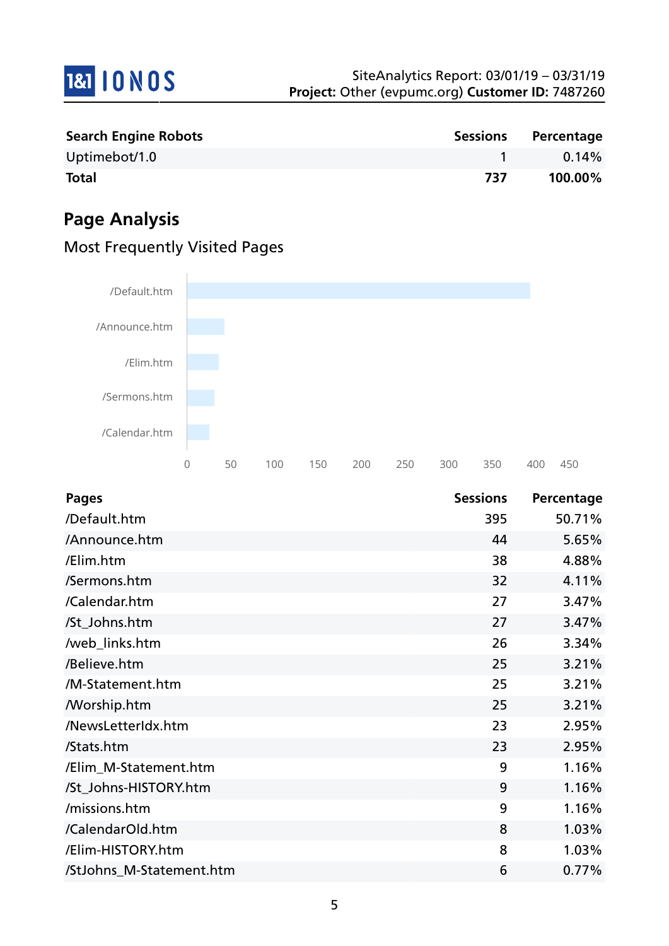

| <b>Search Engine Robots</b> |     | Sessions Percentage |
|-----------------------------|-----|---------------------|
| Uptimebot/1.0               |     | 0.14%               |
| <b>Total</b>                | 737 | 100.00%             |

# **Page Analysis**

| /Default.htm  |   |    |     |     |     |     |     |     |     |     |
|---------------|---|----|-----|-----|-----|-----|-----|-----|-----|-----|
|               |   |    |     |     |     |     |     |     |     |     |
| /Announce.htm |   |    |     |     |     |     |     |     |     |     |
|               |   |    |     |     |     |     |     |     |     |     |
|               |   |    |     |     |     |     |     |     |     |     |
| /Elim.htm     |   |    |     |     |     |     |     |     |     |     |
|               |   |    |     |     |     |     |     |     |     |     |
| /Sermons.htm  |   |    |     |     |     |     |     |     |     |     |
|               |   |    |     |     |     |     |     |     |     |     |
| /Calendar.htm |   |    |     |     |     |     |     |     |     |     |
|               |   |    |     |     |     |     |     |     |     |     |
|               |   |    |     |     |     |     |     |     |     |     |
|               | 0 | 50 | 100 | 150 | 200 | 250 | 300 | 350 | 400 | 450 |

# Most Frequently Visited Pages

| Pages                    | <b>Sessions</b> | Percentage |
|--------------------------|-----------------|------------|
| /Default.htm             | 395             | 50.71%     |
| /Announce.htm            | 44              | 5.65%      |
| /Elim.htm                | 38              | 4.88%      |
| /Sermons.htm             | 32              | 4.11%      |
| /Calendar.htm            | 27              | 3.47%      |
| /St_Johns.htm            | 27              | 3.47%      |
| /web_links.htm           | 26              | 3.34%      |
| /Believe.htm             | 25              | 3.21%      |
| /M-Statement.htm         | 25              | 3.21%      |
| <b>Morship.htm</b>       | 25              | 3.21%      |
| /NewsLetterIdx.htm       | 23              | 2.95%      |
| /Stats.htm               | 23              | 2.95%      |
| /Elim_M-Statement.htm    | 9               | 1.16%      |
| /St_Johns-HISTORY.htm    | 9               | 1.16%      |
| /missions.htm            | 9               | 1.16%      |
| /CalendarOld.htm         | 8               | 1.03%      |
| /Elim-HISTORY.htm        | 8               | 1.03%      |
| /StJohns_M-Statement.htm | 6               | 0.77%      |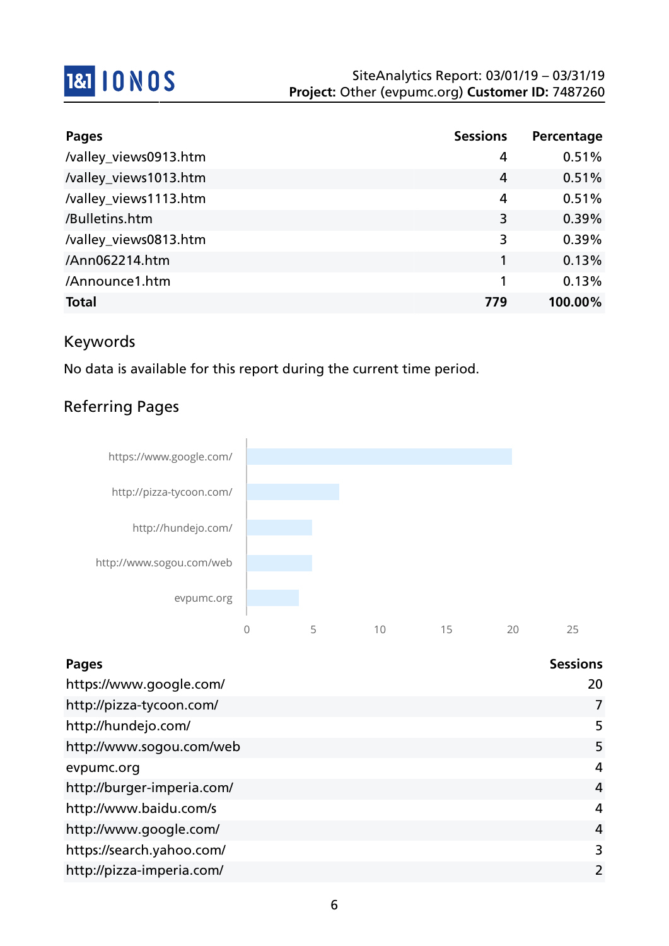

| <b>Pages</b>          | <b>Sessions</b> | Percentage |
|-----------------------|-----------------|------------|
| /valley_views0913.htm | 4               | 0.51%      |
| /valley_views1013.htm | 4               | 0.51%      |
| /valley_views1113.htm | 4               | 0.51%      |
| /Bulletins.htm        | 3               | 0.39%      |
| /valley_views0813.htm | 3               | 0.39%      |
| /Ann062214.htm        | 1               | 0.13%      |
| /Announce1.htm        | 1               | 0.13%      |
| <b>Total</b>          | 779             | 100.00%    |

## Keywords

No data is available for this report during the current time period.

## Referring Pages



| <b>Pages</b>               | <b>Sessions</b> |
|----------------------------|-----------------|
| https://www.google.com/    | 20              |
| http://pizza-tycoon.com/   | 7               |
| http://hundejo.com/        | 5               |
| http://www.sogou.com/web   | 5               |
| evpumc.org                 | 4               |
| http://burger-imperia.com/ | $\overline{4}$  |
| http://www.baidu.com/s     | $\overline{4}$  |
| http://www.google.com/     | 4               |
| https://search.yahoo.com/  | 3               |
| http://pizza-imperia.com/  | $\overline{2}$  |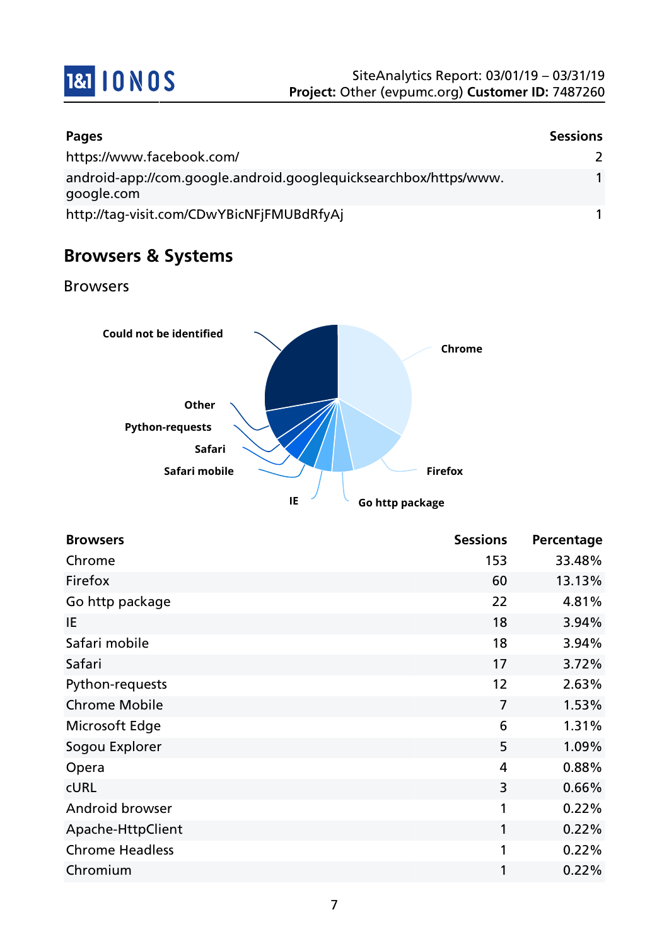

| <b>Pages</b>                                                                   | <b>Sessions</b> |
|--------------------------------------------------------------------------------|-----------------|
| https://www.facebook.com/                                                      |                 |
| android-app://com.google.android.googlequicksearchbox/https/www.<br>google.com |                 |
| http://tag-visit.com/CDwYBicNFjFMUBdRfyAj                                      |                 |

# **Browsers & Systems**

Browsers



| <b>Browsers</b>        | <b>Sessions</b> | Percentage |
|------------------------|-----------------|------------|
| Chrome                 | 153             | 33.48%     |
| Firefox                | 60              | 13.13%     |
| Go http package        | 22              | 4.81%      |
| IE                     | 18              | 3.94%      |
| Safari mobile          | 18              | 3.94%      |
| Safari                 | 17              | 3.72%      |
| Python-requests        | 12              | 2.63%      |
| <b>Chrome Mobile</b>   | $\overline{7}$  | 1.53%      |
| Microsoft Edge         | 6               | 1.31%      |
| Sogou Explorer         | 5               | 1.09%      |
| Opera                  | 4               | 0.88%      |
| <b>CURL</b>            | 3               | 0.66%      |
| Android browser        | 1               | 0.22%      |
| Apache-HttpClient      | 1               | 0.22%      |
| <b>Chrome Headless</b> | 1               | 0.22%      |
| Chromium               | 1               | 0.22%      |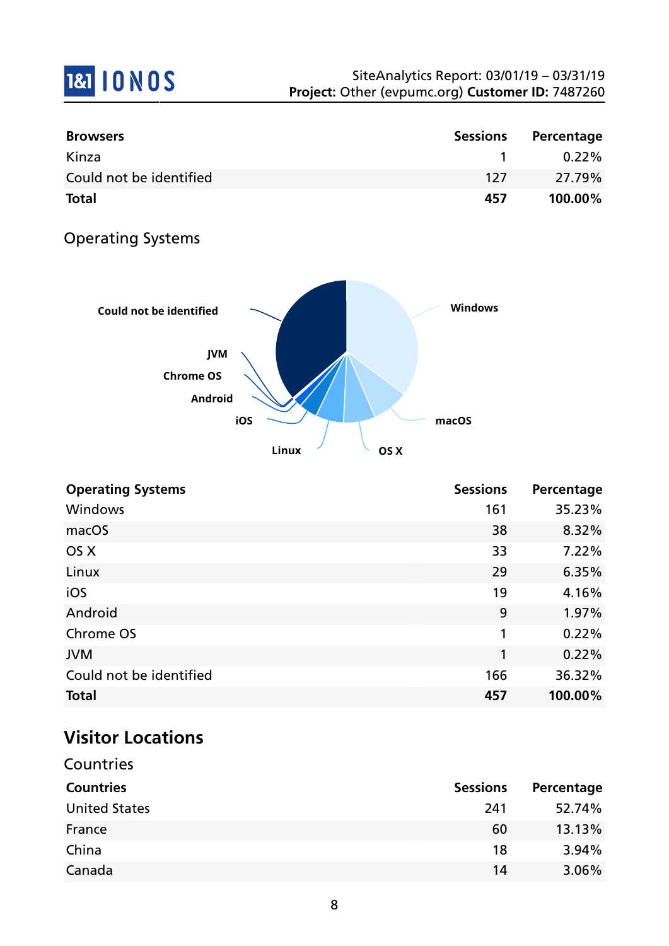# **1&1 10 NOS**

| <b>Browsers</b>         | Sessions | Percentage |
|-------------------------|----------|------------|
| Kinza                   |          | $0.22\%$   |
| Could not be identified | 127      | 27.79%     |
| <b>Total</b>            | 457      | $100.00\%$ |

## Operating Systems



| <b>Operating Systems</b> | <b>Sessions</b> | Percentage |
|--------------------------|-----------------|------------|
| Windows                  | 161             | 35.23%     |
| macOS                    | 38              | 8.32%      |
| OS X                     | 33              | 7.22%      |
| Linux                    | 29              | 6.35%      |
| iOS                      | 19              | 4.16%      |
| Android                  | 9               | 1.97%      |
| Chrome OS                | 1               | 0.22%      |
| <b>JVM</b>               | 1               | 0.22%      |
| Could not be identified  | 166             | 36.32%     |
| <b>Total</b>             | 457             | 100.00%    |

# **Visitor Locations**

| Countries            |                 |            |
|----------------------|-----------------|------------|
| <b>Countries</b>     | <b>Sessions</b> | Percentage |
| <b>United States</b> | 241             | 52.74%     |
| France               | 60              | 13.13%     |
| China                | 18              | 3.94%      |
| Canada               | 14              | 3.06%      |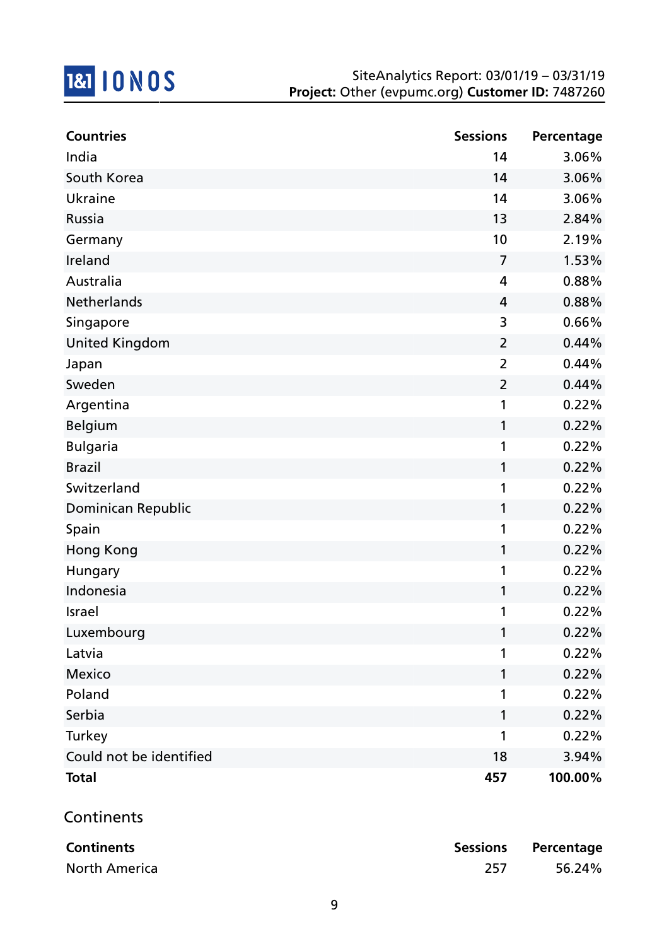

| <b>Countries</b>        | <b>Sessions</b> | Percentage |
|-------------------------|-----------------|------------|
| India                   | 14              | 3.06%      |
| South Korea             | 14              | 3.06%      |
| Ukraine                 | 14              | 3.06%      |
| Russia                  | 13              | 2.84%      |
| Germany                 | 10              | 2.19%      |
| Ireland                 | $\overline{7}$  | 1.53%      |
| Australia               | $\overline{4}$  | 0.88%      |
| <b>Netherlands</b>      | 4               | 0.88%      |
| Singapore               | 3               | 0.66%      |
| <b>United Kingdom</b>   | 2               | 0.44%      |
| Japan                   | $\overline{2}$  | 0.44%      |
| Sweden                  | $\overline{2}$  | 0.44%      |
| Argentina               | 1               | 0.22%      |
| <b>Belgium</b>          | 1               | 0.22%      |
| <b>Bulgaria</b>         | 1               | 0.22%      |
| <b>Brazil</b>           | 1               | 0.22%      |
| Switzerland             | 1               | 0.22%      |
| Dominican Republic      | 1               | 0.22%      |
| Spain                   | 1               | 0.22%      |
| Hong Kong               | 1               | 0.22%      |
| Hungary                 | 1               | 0.22%      |
| Indonesia               | 1               | 0.22%      |
| Israel                  | 1               | 0.22%      |
| Luxembourg              |                 | 0.22%      |
| Latvia                  | 1               | 0.22%      |
| Mexico                  | 1               | 0.22%      |
| Poland                  | 1               | 0.22%      |
| Serbia                  | 1               | 0.22%      |
| Turkey                  | 1               | 0.22%      |
| Could not be identified | 18              | 3.94%      |
| <b>Total</b>            | 457             | 100.00%    |

## **Continents**

| <b>Continents</b> |     | Sessions Percentage |
|-------------------|-----|---------------------|
| North America     | 257 | 56.24%              |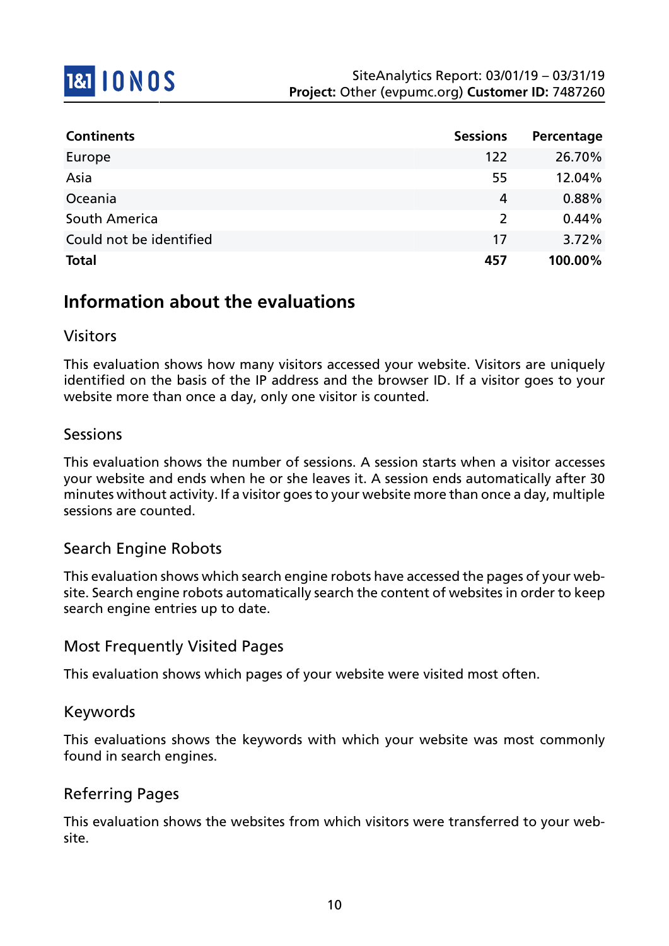

| <b>Continents</b>       | <b>Sessions</b> | Percentage |
|-------------------------|-----------------|------------|
| Europe                  | 122             | 26.70%     |
| Asia                    | 55              | 12.04%     |
| Oceania                 | 4               | 0.88%      |
| South America           | 2               | 0.44%      |
| Could not be identified | 17              | 3.72%      |
| <b>Total</b>            | 457             | 100.00%    |

## **Information about the evaluations**

### Visitors

This evaluation shows how many visitors accessed your website. Visitors are uniquely identified on the basis of the IP address and the browser ID. If a visitor goes to your website more than once a day, only one visitor is counted.

#### Sessions

This evaluation shows the number of sessions. A session starts when a visitor accesses your website and ends when he or she leaves it. A session ends automatically after 30 minutes without activity. If a visitor goes to your website more than once a day, multiple sessions are counted.

#### Search Engine Robots

This evaluation shows which search engine robots have accessed the pages of your website. Search engine robots automatically search the content of websites in order to keep search engine entries up to date.

### Most Frequently Visited Pages

This evaluation shows which pages of your website were visited most often.

#### Keywords

This evaluations shows the keywords with which your website was most commonly found in search engines.

### Referring Pages

This evaluation shows the websites from which visitors were transferred to your website.